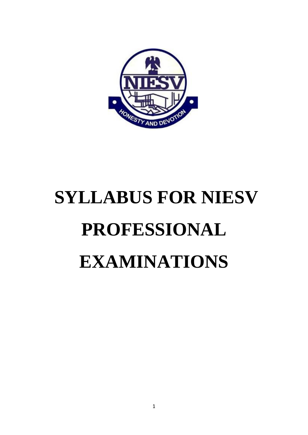

# **SYLLABUS FOR NIESV PROFESSIONAL EXAMINATIONS**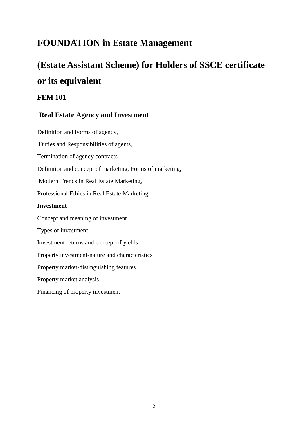# **FOUNDATION in Estate Management**

# **(Estate Assistant Scheme) for Holders of SSCE certificate or its equivalent**

# **FEM 101**

# **Real Estate Agency and Investment**

Definition and Forms of agency, Duties and Responsibilities of agents, Termination of agency contracts Definition and concept of marketing, Forms of marketing, Modern Trends in Real Estate Marketing, Professional Ethics in Real Estate Marketing **Investment** Concept and meaning of investment Types of investment Investment returns and concept of yields Property investment-nature and characteristics Property market-distinguishing features Property market analysis Financing of property investment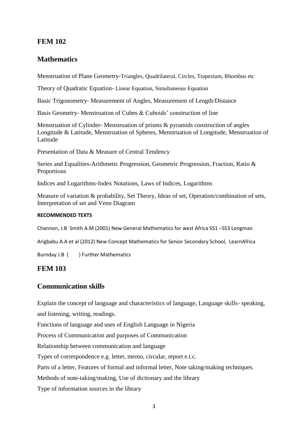# **FEM 102**

# **Mathematics**

Menstruation of Plane Geometry-Triangles, Quadrilateral, Circles, Trapezium, Rhombus etc

Theory of Quadratic Equation- Linear Equation, Simultaneous Equation

Basic Trigonometry- Measurement of Angles, Measurement of Length/Distance

Basis Geometry- Menstruation of Cubes & Cuboids' construction of line

Menstruation of Cylinder- Menstruation of prisms & pyramids construction of angles Longitude & Latitude, Menstruation of Spheres, Menstruation of Longitude, Menstruation of Latitude

Presentation of Data & Measure of Central Tendency

Series and Equalities-Arithmetic Progression, Geometric Progression, Fraction, Ratio & **Proportions** 

Indices and Logarithms-Index Notations, Laws of Indices, Logarithms

Measure of variation & probability, Set Theory, Ideas of set, Operation/combination of sets, Interpretation of set and Venn Diagram

#### **RECOMMENDED TEXTS**

Channon, J.B Smith A.M (2001) New General Mathematics for west Africa SS1 -SS3 Longman

Arigbabu A.A et al (2012) New Concept Mathematics for Senior Secondary School, LearnAfrica

Burnday J.B ( ) Further Mathematics

# **FEM 103**

# **Communication skills**

Explain the concept of language and characteristics of language, Language skills- speaking, and listening, writing, readings.

Functions of language and uses of English Language in Nigeria

Process of Communication and purposes of Communication

Relationship between communication and language

Types of correspondence e.g. letter, memo, circular, report e.t.c.

Parts of a letter, Features of formal and informal letter, Note taking/making techniques.

Methods of note-taking/making, Use of dictionary and the library

Type of information sources in the library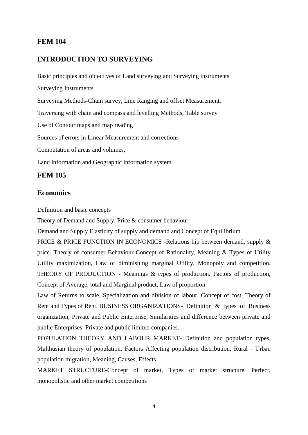# **FEM 104**

# **INTRODUCTION TO SURVEYING**

Basic principles and objectives of Land surveying and Surveying instruments Surveying Instruments Surveying Methods-Chain survey, Line Ranging and offset Measurement. Traversing with chain and compass and levelling Methods, Table survey Use of Contour maps and map reading Sources of errors in Linear Measurement and corrections Computation of areas and volumes, Land information and Geographic information system

#### **FEM 105**

### **Economics**

Definition and basic concepts

Theory of Demand and Supply, Price & consumer behaviour

Demand and Supply Elasticity of supply and demand and Concept of Equilibrium

PRICE & PRICE FUNCTION IN ECONOMICS -Relations hip between demand, supply & price. Theory of consumer Behaviour-Concept of Rationality, Meaning & Types of Utility Utility maximization, Law of diminishing marginal Utility, Monopoly and competition. THEORY OF PRODUCTION - Meanings & types of production. Factors of production, Concept of Average, total and Marginal product, Law of proportion

Law of Returns to scale, Specialization and division of labour, Concept of cost, Theory of Rent and Types of Rent. BUSINESS ORGANIZATIONS- Definition & types of Business organization, Private and Public Enterprise, Similarities and difference between private and public Enterprises, Private and public limited companies.

POPULATION THEORY AND LABOUR MARKET- Definition and population types, Malthusian theory of population, Factors Affecting population distribution, Rural - Urban population migration, Meaning, Causes, Effects

MARKET STRUCTURE-Concept of market, Types of market structure, Perfect, monopolistic and other market competitions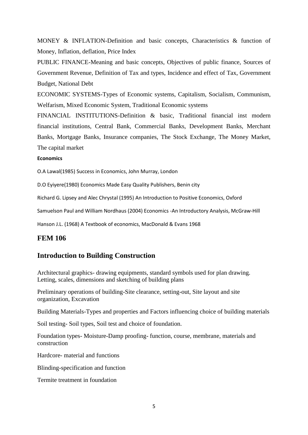MONEY & INFLATION-Definition and basic concepts, Characteristics & function of Money, Inflation, deflation, Price Index

PUBLIC FINANCE-Meaning and basic concepts, Objectives of public finance, Sources of Government Revenue, Definition of Tax and types, Incidence and effect of Tax, Government Budget, National Debt

ECONOMIC SYSTEMS-Types of Economic systems, Capitalism, Socialism, Communism, Welfarism, Mixed Economic System, Traditional Economic systems

FINANCIAL INSTITUTIONS-Definition & basic, Traditional financial inst modern financial institutions, Central Bank, Commercial Banks, Development Banks, Merchant Banks, Mortgage Banks, Insurance companies, The Stock Exchange, The Money Market, The capital market

#### **Economics**

O.A Lawal(1985) Success in Economics, John Murray, London

D.O Eyiyere(1980) Economics Made Easy Quality Publishers, Benin city

Richard G. Lipsey and Alec Chrystal (1995) An Introduction to Positive Economics, Oxford

Samuelson Paul and William Nordhaus (2004) Economics -An Introductory Analysis, McGraw-Hill

Hanson J.L. (1968) A Textbook of economics, MacDonald & Evans 1968

# **FEM 106**

# **Introduction to Building Construction**

Architectural graphics- drawing equipments, standard symbols used for plan drawing. Letting, scales, dimensions and sketching of building plans

Preliminary operations of building-Site clearance, setting-out, Site layout and site organization, Excavation

Building Materials-Types and properties and Factors influencing choice of building materials

Soil testing- Soil types, Soil test and choice of foundation.

Foundation types- Moisture-Damp proofing- function, course, membrane, materials and construction

Hardcore- material and functions

Blinding-specification and function

Termite treatment in foundation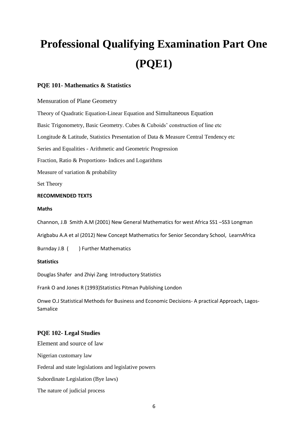# **Professional Qualifying Examination Part One (PQE1)**

#### **PQE 101- Mathematics & Statistics**

Mensuration of Plane Geometry

Theory of Quadratic Equation-Linear Equation and Simultaneous Equation

Basic Trigonometry, Basic Geometry. Cubes & Cuboids' construction of line etc

Longitude & Latitude, Statistics Presentation of Data & Measure Central Tendency etc

Series and Equalities - Arithmetic and Geometric Progression

Fraction, Ratio & Proportions- Indices and Logarithms

Measure of variation & probability

Set Theory

#### **RECOMMENDED TEXTS**

#### **Maths**

Channon, J.B Smith A.M (2001) New General Mathematics for west Africa SS1 –SS3 Longman

Arigbabu A.A et al (2012) New Concept Mathematics for Senior Secondary School, LearnAfrica

Burnday J.B ( ) Further Mathematics

#### **Statistics**

Douglas Shafer and Zhiyi Zang Introductory Statistics

Frank O and Jones R (1993)Statistics Pitman Publishing London

Onwe O.J Statistical Methods for Business and Economic Decisions- A practical Approach, Lagos-Samalice

#### **PQE 102- Legal Studies**

Element and source of law Nigerian customary law Federal and state legislations and legislative powers Subordinate Legislation (Bye laws) The nature of judicial process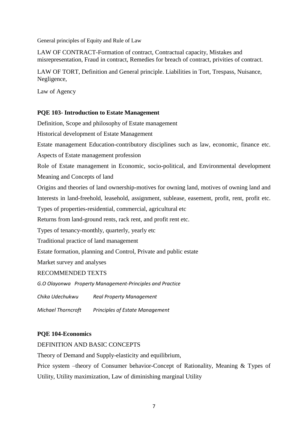General principles of Equity and Rule of Law

LAW OF CONTRACT-Formation of contract, Contractual capacity, Mistakes and misrepresentation, Fraud in contract, Remedies for breach of contract, privities of contract.

LAW OF TORT, Definition and General principle. Liabilities in Tort, Trespass, Nuisance, Negligence,

Law of Agency

#### **PQE 103- Introduction to Estate Management**

Definition, Scope and philosophy of Estate management

Historical development of Estate Management

Estate management Education-contributory disciplines such as law, economic, finance etc.

Aspects of Estate management profession

Role of Estate management in Economic, socio-political, and Environmental development Meaning and Concepts of land

Origins and theories of land ownership-motives for owning land, motives of owning land and Interests in land-freehold, leasehold, assignment, sublease, easement, profit, rent, profit etc.

Types of properties-residential, commercial, agricultural etc

Returns from land-ground rents, rack rent, and profit rent etc.

Types of tenancy-monthly, quarterly, yearly etc

Traditional practice of land management

Estate formation, planning and Control, Private and public estate

Market survey and analyses

#### RECOMMENDED TEXTS

*G.O Olayonwa Property Management-Principles and Practice*

*Chika Udechukwu Real Property Management*

*Michael Thorncroft Principles of Estate Management*

#### **PQE 104-Economics**

DEFINITION AND BASIC CONCEPTS

Theory of Demand and Supply-elasticity and equilibrium,

Price system –theory of Consumer behavior-Concept of Rationality, Meaning & Types of Utility, Utility maximization, Law of diminishing marginal Utility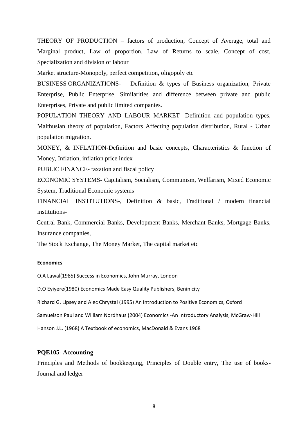THEORY OF PRODUCTION – factors of production, Concept of Average, total and Marginal product, Law of proportion, Law of Returns to scale, Concept of cost, Specialization and division of labour

Market structure-Monopoly, perfect competition, oligopoly etc

BUSINESS ORGANIZATIONS- Definition & types of Business organization, Private Enterprise, Public Enterprise, Similarities and difference between private and public Enterprises, Private and public limited companies.

POPULATION THEORY AND LABOUR MARKET- Definition and population types, Malthusian theory of population, Factors Affecting population distribution, Rural - Urban population migration.

MONEY, & INFLATION-Definition and basic concepts, Characteristics & function of Money, Inflation, inflation price index

PUBLIC FINANCE- taxation and fiscal policy

ECONOMIC SYSTEMS- Capitalism, Socialism, Communism, Welfarism, Mixed Economic System, Traditional Economic systems

FINANCIAL INSTITUTIONS-, Definition & basic, Traditional / modern financial institutions-

 Central Bank, Commercial Banks, Development Banks, Merchant Banks, Mortgage Banks, Insurance companies,

The Stock Exchange, The Money Market, The capital market etc

#### **Economics**

O.A Lawal(1985) Success in Economics, John Murray, London

D.O Eyiyere(1980) Economics Made Easy Quality Publishers, Benin city

Richard G. Lipsey and Alec Chrystal (1995) An Introduction to Positive Economics, Oxford

Samuelson Paul and William Nordhaus (2004) Economics -An Introductory Analysis, McGraw-Hill

Hanson J.L. (1968) A Textbook of economics, MacDonald & Evans 1968

#### **PQE105- Accounting**

Principles and Methods of bookkeeping, Principles of Double entry, The use of books-Journal and ledger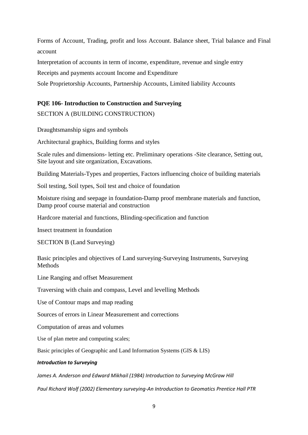Forms of Account, Trading, profit and loss Account. Balance sheet, Trial balance and Final account

Interpretation of accounts in term of income, expenditure, revenue and single entry

Receipts and payments account Income and Expenditure

Sole Proprietorship Accounts, Partnership Accounts, Limited liability Accounts

### **PQE 106- Introduction to Construction and Surveying**

SECTION A (BUILDING CONSTRUCTION)

Draughtsmanship signs and symbols

Architectural graphics, Building forms and styles

Scale rules and dimensions- letting etc. Preliminary operations -Site clearance, Setting out, Site layout and site organization, Excavations.

Building Materials-Types and properties, Factors influencing choice of building materials

Soil testing, Soil types, Soil test and choice of foundation

Moisture rising and seepage in foundation-Damp proof membrane materials and function, Damp proof course material and construction

Hardcore material and functions, Blinding-specification and function

Insect treatment in foundation

SECTION B (Land Surveying)

Basic principles and objectives of Land surveying-Surveying Instruments, Surveying **Methods** 

Line Ranging and offset Measurement

Traversing with chain and compass, Level and levelling Methods

Use of Contour maps and map reading

Sources of errors in Linear Measurement and corrections

Computation of areas and volumes

Use of plan metre and computing scales;

Basic principles of Geographic and Land Information Systems (GIS & LIS)

#### *Introduction to Surveying*

*James A. Anderson and Edward Mikhail (1984) Introduction to Surveying McGraw Hill*

*Paul Richard Wolf (2002) Elementary surveying-An Introduction to Geomatics Prentice Hall PTR*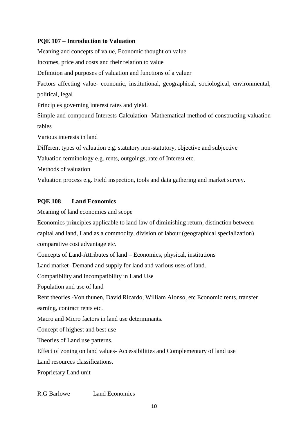#### **PQE 107 – Introduction to Valuation**

Meaning and concepts of value, Economic thought on value Incomes, price and costs and their relation to value Definition and purposes of valuation and functions of a valuer Factors affecting value- economic, institutional, geographical, sociological, environmental, political, legal Principles governing interest rates and yield. Simple and compound Interests Calculation -Mathematical method of constructing valuation tables Various interests in land Different types of valuation e.g. statutory non-statutory, objective and subjective Valuation terminology e.g. rents, outgoings, rate of Interest etc. Methods of valuation Valuation process e.g. Field inspection, tools and data gathering and market survey.

# **PQE 108 Land Economics**

Meaning of land economics and scope

Economics pri**n**ciples applicable to land-law of diminishing return, distinction between capital and land, Land as a commodity, division of labour (geographical specialization) comparative cost advantage etc.

Concepts of Land-Attributes of land – Economics, physical, institutions

Land market- Demand and supply for land and various uses of land.

Compatibility and incompatibility in Land Use

Population and use of land

Rent theories -Von thunen, David Ricardo, William Alonso, etc Economic rents, transfer earning, contract rents etc.

Macro and Micro factors in land use determinants.

Concept of highest and best use

Theories of Land use patterns.

Effect of zoning on land values- Accessibilities and Complementary of land use

Land resources classifications.

Proprietary Land unit

R.G. Barlowe Land Economics

10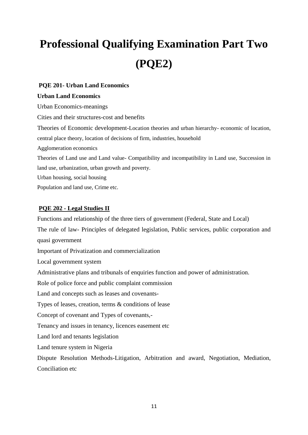# **Professional Qualifying Examination Part Two (PQE2)**

#### **PQE 201- Urban Land Economics**

#### **Urban Land Economics**

Urban Economics-meanings Cities and their structures-cost and benefits Theories of Economic development-Location theories and urban hierarchy- economic of location, central place theory, location of decisions of firm, industries, household Agglomeration economics Theories of Land use and Land value- Compatibility and incompatibility in Land use, Succession in land use, urbanization, urban growth and poverty. Urban housing, social housing Population and land use, Crime etc.

#### **PQE 202 - Legal Studies II**

Functions and relationship of the three tiers of government (Federal, State and Local)

The rule of law- Principles of delegated legislation, Public services, public corporation and quasi government

Important of Privatization and commercialization

Local government system

Administrative plans and tribunals of enquiries function and power of administration.

Role of police force and public complaint commission

Land and concepts such as leases and covenants-

Types of leases, creation, terms & conditions of lease

Concept of covenant and Types of covenants,-

Tenancy and issues in tenancy, licences easement etc

Land lord and tenants legislation

Land tenure system in Nigeria

Dispute Resolution Methods-Litigation, Arbitration and award, Negotiation, Mediation, Conciliation etc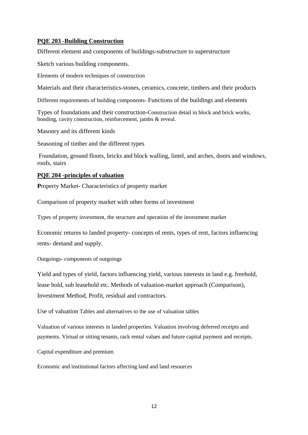#### **PQE 203 -Building Construction**

Different element and components of buildings-substructure to superstructure

Sketch various building components.

Elements of modern techniques of construction

Materials and their characteristics-stones, ceramics, concrete, timbers and their products

Different requirements of building components- Functions of the buildings and elements

Types of foundations and their construction-Construction detail in block and brick works, bonding, cavity construction, reinforcement, jambs & reveal.

Masonry and its different kinds

Seasoning of timber and the different types

Foundation, ground floors, bricks and block walling, lintel, and arches, doors and windows, roofs, stairs

#### **PQE 204 -principles of valuation**

**P**roperty Market**-** Characteristics of property market

Comparison of property market with other forms of investment

Types of property investment, the structure and operation of the investment market

Economic returns to landed property- concepts of rents, types of rent, factors influencing rents- demand and supply.

Outgoings- components of outgoings

Yield and types of yield, factors influencing yield, various interests in land e.g. freehold, lease hold, sub leasehold etc. Methods of valuation-market approach (Comparison), Investment Method, Profit, residual and contractors.

Use of valuation Tables and alternatives to the use of valuation tables

Valuation of various interests in landed properties. Valuation involving deferred receipts and payments. Virtual or sitting tenants, rack rental values and future capital payment and receipts.

Capital expenditure and premium

Economic and institutional factors affecting land and land resources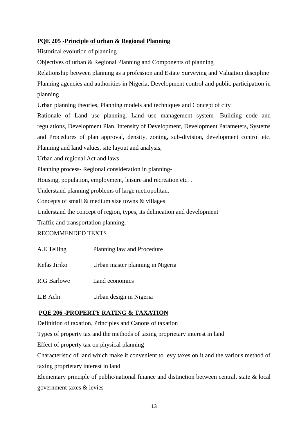## **PQE 205 -Principle of urban & Regional Planning**

Historical evolution of planning

Objectives of urban & Regional Planning and Components of planning

Relationship between planning as a profession and Estate Surveying and Valuation discipline Planning agencies and authorities in Nigeria, Development control and public participation in planning

Urban planning theories, Planning models and techniques and Concept of city

Rationale of Land use planning. Land use management system- Building code and regulations, Development Plan, Intensity of Development, Development Parameters, Systems and Procedures of plan approval, density, zoning, sub-division, development control etc. Planning and land values, site layout and analysis,

Urban and regional Act and laws

Planning process- Regional consideration in planning-

Housing, population, employment, leisure and recreation etc. .

Understand planning problems of large metropolitan.

Concepts of small & medium size towns & villages

Understand the concept of region, types, its delineation and development

Traffic and transportation planning,

### RECOMMENDED TEXTS

| A.E Telling  | Planning law and Procedure       |
|--------------|----------------------------------|
| Kefas Jiriko | Urban master planning in Nigeria |
| R.G Barlowe  | Land economics                   |
| L.B Achi     | Urban design in Nigeria          |

# **PQE 206 -PROPERTY RATING & TAXATION**

Definition of taxation, Principles and Canons of taxation

Types of property tax and the methods of taxing proprietary interest in land

Effect of property tax on physical planning

Characteristic of land which make it convenient to levy taxes on it and the various method of taxing proprietary interest in land

Elementary principle of public/national finance and distinction between central, state & local government taxes & levies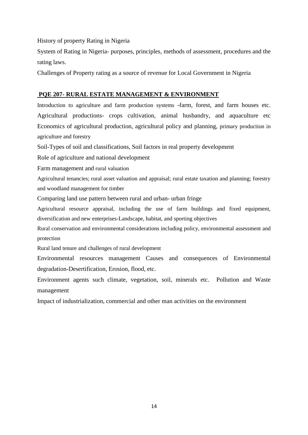History of property Rating in Nigeria

System of Rating in Nigeria- purposes, principles, methods of assessment, procedures and the rating laws.

Challenges of Property rating as a source of revenue for Local Government in Nigeria

#### **PQE 207- RURAL ESTATE MANAGEMENT & ENVIRONMENT**

Introduction to agriculture and farm production systems -farm, forest, and farm houses etc. Agricultural productions- crops cultivation, animal husbandry, and aquaculture etc Economics of agricultural production, agricultural policy and planning, primary production in agriculture and forestry

Soil-Types of soil and classifications, Soil factors in real property development

Role of agriculture and national development

Farm management and rural valuation

Agricultural tenancies; rural asset valuation and appraisal; rural estate taxation and planning; forestry and woodland management for timber

Comparing land use pattern between rural and urban- urban fringe

Agricultural resource appraisal, including the use of farm buildings and fixed equipment, diversification and new enterprises-Landscape, habitat, and sporting objectives

Rural conservation and environmental considerations including policy, environmental assessment and protection

Rural land tenure and challenges of rural development

Environmental resources management Causes and consequences of Environmental degradation-Desertification, Erosion, flood, etc.

Environment agents such climate, vegetation, soil, minerals etc. Pollution and Waste management

Impact of industrialization, commercial and other man activities on the environment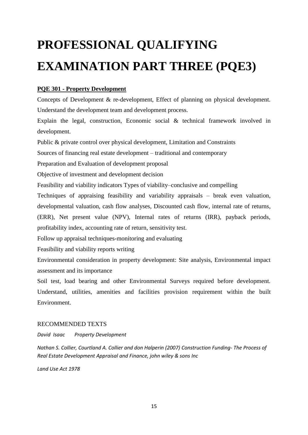# **PROFESSIONAL QUALIFYING EXAMINATION PART THREE (PQE3)**

# **PQE 301 - Property Development**

Concepts of Development & re-development, Effect of planning on physical development. Understand the development team and development process.

Explain the legal, construction, Economic social & technical framework involved in development.

Public & private control over physical development, Limitation and Constraints

Sources of financing real estate development – traditional and contemporary

Preparation and Evaluation of development proposal

Objective of investment and development decision

Feasibility and viability indicators Types of viability–conclusive and compelling

Techniques of appraising feasibility and variability appraisals – break even valuation, developmental valuation, cash flow analyses, Discounted cash flow, internal rate of returns, (ERR), Net present value (NPV), Internal rates of returns (IRR), payback periods, profitability index, accounting rate of return, sensitivity test.

Follow up appraisal techniques-monitoring and evaluating

Feasibility and viability reports writing

Environmental consideration in property development: Site analysis, Environmental impact assessment and its importance

Soil test, load bearing and other Environmental Surveys required before development. Understand, utilities, amenities and facilities provision requirement within the built Environment.

### RECOMMENDED TEXTS

*David Isaac Property Development* 

*Nathan S. Collier, Courtland A. Collier and don Halperin (2007) Construction Funding- The Process of Real Estate Development Appraisal and Finance, john wiley & sons Inc*

*Land Use Act 1978*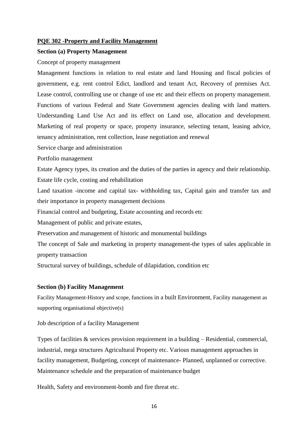#### **PQE 302 -Property and Facility Management**

#### **Section (a) Property Management**

#### Concept of property management

Management functions in relation to real estate and land Housing and fiscal policies of government, e.g. rent control Edict, landlord and tenant Act, Recovery of premises Act. Lease control, controlling use or change of use etc and their effects on property management. Functions of various Federal and State Government agencies dealing with land matters. Understanding Land Use Act and its effect on Land use, allocation and development. Marketing of real property or space, property insurance, selecting tenant, leasing advice, tenancy administration, rent collection, lease negotiation and renewal

Service charge and administration

Portfolio management

Estate Agency types, its creation and the duties of the parties in agency and their relationship.

Estate life cycle, costing and rehabilitation

Land taxation -income and capital tax- withholding tax, Capital gain and transfer tax and their importance in property management decisions

Financial control and budgeting, Estate accounting and records etc

Management of public and private estates,

Preservation and management of historic and monumental buildings

The concept of Sale and marketing in property management-the types of sales applicable in property transaction

Structural survey of buildings, schedule of dilapidation, condition etc

#### **Section (b) Facility Management**

Facility Management-History and scope, functions in a built Environment, Facility management as supporting organisational objective(s)

Job description of a facility Management

Types of facilities & services provision requirement in a building – Residential, commercial, industrial, mega structures Agricultural Property etc. Various management approaches in facility management, Budgeting, concept of maintenance- Planned, unplanned or corrective. Maintenance schedule and the preparation of maintenance budget

Health, Safety and environment-bomb and fire threat etc.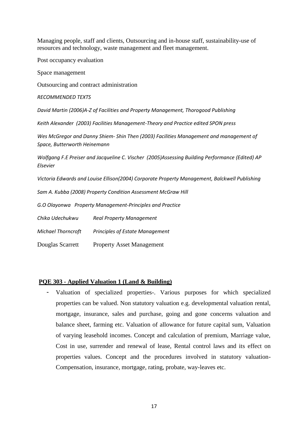Managing people, staff and clients, Outsourcing and in-house staff, sustainability-use of resources and technology, waste management and fleet management.

Post occupancy evaluation

Space management

Outsourcing and contract administration

*RECOMMENDED TEXTS*

*David Martin (2006)A-Z of Facilities and Property Management, Thorogood Publishing*

*Keith Alexander (2003) Facilities Management-Theory and Practice edited SPON press*

*Wes McGregor and Danny Shiem- Shin Then (2003) Facilities Management and management of Space, Butterworth Heinemann*

*Wolfgang F.E Preiser and Jacqueline C. Vischer (2005)Assessing Building Performance (Edited) AP Elsevier* 

*Victoria Edwards and Louise Ellison(2004) Corporate Property Management, Balckwell Publishing*

*Sam A. Kubba (2008) Property Condition Assessment McGraw Hill*

*G.O Olayonwa Property Management-Principles and Practice*

| Chika Udechukwu | <b>Real Property Management</b> |
|-----------------|---------------------------------|
|-----------------|---------------------------------|

*Michael Thorncroft Principles of Estate Management*

Douglas Scarrett Property Asset Management

#### **PQE 303 - Applied Valuation 1 (Land & Building)**

- Valuation of specialized properties-. Various purposes for which specialized properties can be valued. Non statutory valuation e.g. developmental valuation rental, mortgage, insurance, sales and purchase, going and gone concerns valuation and balance sheet, farming etc. Valuation of allowance for future capital sum, Valuation of varying leasehold incomes. Concept and calculation of premium, Marriage value, Cost in use, surrender and renewal of lease, Rental control laws and its effect on properties values. Concept and the procedures involved in statutory valuation-Compensation, insurance, mortgage, rating, probate, way-leaves etc.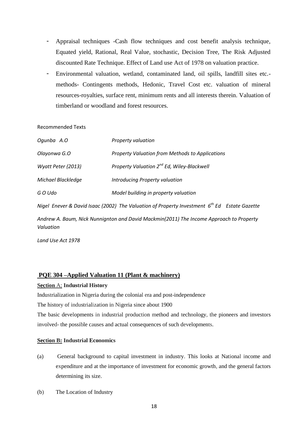- Appraisal techniques -Cash flow techniques and cost benefit analysis technique, Equated yield, Rational, Real Value, stochastic, Decision Tree, The Risk Adjusted discounted Rate Technique. Effect of Land use Act of 1978 on valuation practice.
- Environmental valuation, wetland, contaminated land, oil spills, landfill sites etc. methods- Contingents methods, Hedonic, Travel Cost etc. valuation of mineral resources-royalties, surface rent, minimum rents and all interests therein. Valuation of timberland or woodland and forest resources.

Recommended Texts

| Ogunba A.O                                                                                        | Property valuation                                     |  |
|---------------------------------------------------------------------------------------------------|--------------------------------------------------------|--|
| Olayonwa G.O                                                                                      | <b>Property Valuation from Methods to Applications</b> |  |
| Wyatt Peter (2013)                                                                                | Property Valuation 2 <sup>nd</sup> Ed, Wiley-Blackwell |  |
| Michael Blackledge                                                                                | Introducing Property valuation                         |  |
| G O Udo                                                                                           | Model building in property valuation                   |  |
| Nigel Enever & David Isaac (2002) The Valuation of Property Investment $6^{th}$ Ed Estate Gazette |                                                        |  |

*Andrew A. Baum, Nick Nunnignton and David Mackmin(2011) The Income Approach to Property Valuation*

*Land Use Act 1978*

#### **PQE 304 –Applied Valuation 11 (Plant & machinery)**

#### **Section** A: **Industrial History**

Industrialization in Nigeria during the colonial era and post-independence

The history of industrialization in Nigeria since about 1900

The basic developments in industrial production method and technology, the pioneers and investors involved- the possible causes and actual consequences of such developments.

#### **Section B: Industrial Economics**

- (a) General background to capital investment in industry. This looks at National income and expenditure and at the importance of investment for economic growth, and the general factors determining its size.
- (b) The Location of Industry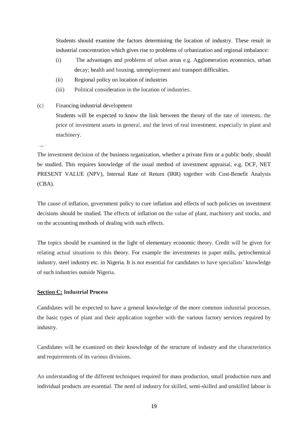Students should examine the factors determining the location of industry. These result in industrial concentration which gives rise to problems of urbanization and regional imbalance:

- (i) The advantages and problems of urban areas e.g. Agglomeration economics, urban decay; health and housing, unemployment and transport difficulties.
- (ii) Regional policy on location of industries
- (iii) Political consideration in the location of industries.
- (c) Financing industrial development

Students will be expected to know the link between the theory of the rate of interests, the price of investment assets in general, and the levei of real investment, especially in plant and machinery.

:....-

The investment decision of the business organization, whether a private firm or a public body, should be studied. This requires knowledge of the usual method of investment appraisal, e.g. DCF, NET PRESENT VALUE (NPV), Internal Rate of Return (IRR) together with Cost-Benefit Analysis (CBA).

The cause of inflation, government policy to cure inflation and effects of such policies on investment decisions should be studied. The effects of inflation on the value of plant, machinery and stocks, and on the accounting methods of dealing with such effects.

The topics should be examined in the light of elementary economic theory. Credit will be given for relating actual situations to this theory. For example the investments in paper mills, petrochemical industry, steel industry etc. in Nigeria. It is not essential for candidates to have specialists' knowledge of such industries outside Nigeria.

#### **Section C: Industrial Process**

Candidates will be expected to have a general knowledge of the more common industrial processes, the basic types of plant and their application together with the various factory services required by industry.

Candidates will be examined on their knowledge of the structure of industry and the characteristics and requirements of its various divisions.

An understanding of the different techniques required for mass production, small production runs and individual products are essential. The need of industry for skilled, semi-skilled and unskilled labour is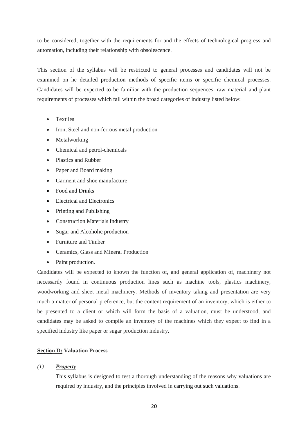to be considered, together with the requirements for and the effects of technological progress and automation, including their relationship with obsolescence.

This section of the syllabus will be restricted to general processes and candidates will not be examined on he detailed production methods of specific items or specific chemical processes. Candidates will be expected to be familiar with the production sequences, raw material and plant requirements of processes which fall within the broad categories of industry listed below:

- **•** Textiles
- Iron, Steel and non-ferrous metal production
- Metalworking
- Chemical and petrol-chemicals
- Plastics and Rubber
- Paper and Board making
- Garment and shoe manufacture
- Food and Drinks
- Electrical and Electronics
- Printing and Publishing
- Construction Materials Industry
- Sugar and Alcoholic production
- Furniture and Timber
- Ceramics, Glass and Mineral Production
- Paint production.

Candidates will be expected to known the function of, and general application of, machinery not necessarily found in continuous production lines such as machine tools, plastics machinery, woodworking and sheet metal machinery. Methods of inventory taking and presentation are very much a matter of personal preference, but the content requirement of an inventory, which is either to be presented to a client or which will form the basis of a valuation, must be understood, and candidates may be asked to compile an inventory of the machines which they expect to find in a specified industry like paper or sugar production industry.

#### **Section D: Valuation Process**

#### *(1) Property*

This syllabus is designed to test a thorough understanding of the reasons why valuations are required by industry, and the principles involved in carrying out such valuations.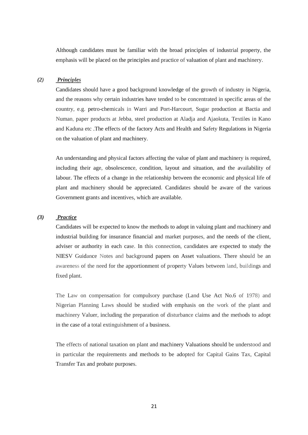Although candidates must be familiar with the broad principles of industrial property, the emphasis will be placed on the principles and practice of valuation of plant and machinery.

#### *(2) Principles*

Candidates should have a good background knowledge of the growth of industry in Nigeria, and the reasons why certain industries have tended to be concentrated in specific areas of the country, e.g. petro-chemicals in Warri and Port-Harcourt, Sugar production at Bactia and Numan, paper products at Jebba, steel production at Aladja and Ajaokuta, Textiles in Kano and Kaduna etc .The effects of the factory Acts and Health and Safety Regulations in Nigeria on the valuation of plant and machinery.

An understanding and physical factors affecting the value of plant and machinery is required, including their age, obsolescence, condition, layout and situation, and the availability of labour. The effects of a change in the relationship between the economic and physical life of plant and machinery should be appreciated. Candidates should be aware of the various Government grants and incentives, which are available.

#### *(3) Practice*

Candidates will be expected to know the methods to adopt in valuing plant and machinery and industrial building for insurance financial and market purposes, and the needs of the client, adviser or authority in each case. In this connection, candidates are expected to study the NIESV Guidance Notes and background papers on Asset valuations. There should be an awareness of the need for the apportionment of property Values between land, buildings and fixed plant.

The Law on compensation for compulsory purchase (Land Use Act No.6 of 1978) and Nigerian Planning Laws should be studied with emphasis on the work of the plant and machinery Valuer, including the preparation of disturbance claims and the methods to adopt in the case of a total extinguishment of a business.

The effects of national taxation on plant and machinery Valuations should be understood and in particular the requirements and methods to be adopted for Capital Gains Tax, Capital Transfer Tax and probate purposes.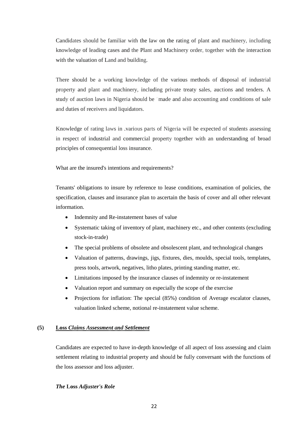Candidates should be familiar with the law on the rating of plant and machinery, including knowledge of leading cases and the Plant and Machinery order, together with the interaction with the valuation of Land and building.

There should be a working knowledge of the various methods of disposal of industrial property and plant and machinery, including private treaty sales, auctions and tenders. A study of auction laws in Nigeria should be "made and also accounting and conditions of sale and duties of receivers and liquidators.

Knowledge of rating laws in .various parts of Nigeria will be expected of students assessing in respect of industrial and commercial property together with an understanding of broad principles of consequential loss insurance.

What are the insured's intentions and requirements?

Tenants' obligations to insure by reference to lease conditions, examination of policies, the specification, clauses and insurance plan to ascertain the basis of cover and all other relevant information.

- Indemnity and Re-instatement bases of value
- Systematic taking of inventory of plant, machinery etc., and other contents (excluding stock-in-trade)
- The special problems of obsolete and obsolescent plant, and technological changes
- Valuation of patterns, drawings, jigs, fixtures, dies, moulds, special tools, templates, press tools, artwork, negatives, litho plates, printing standing matter, etc.
- Limitations imposed by the insurance clauses of indemnity or re-instatement
- Valuation report and summary on especially the scope of the exercise
- Projections for inflation: The special (85%) condition of Average escalator clauses, valuation linked scheme, notional re-instatement value scheme.

#### **(5) Loss** *Claims Assessment and Settlement*

Candidates are expected to have in-depth knowledge of all aspect of loss assessing and claim settlement relating to industrial property and should be fully conversant with the functions of the loss assessor and loss adjuster.

#### *The* **Loss** *Adjuster's Role*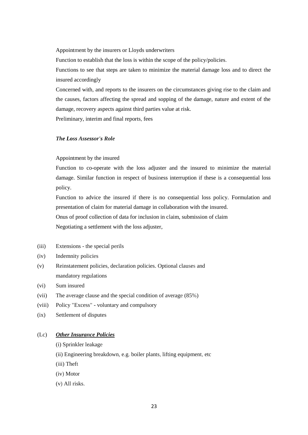Appointment by the insurers or Lloyds underwriters

Function to establish that the loss is within the scope of the policy/policies.

Functions to see that steps are taken to minimize the material damage loss and to direct the insured accordingly

Concerned with, and reports to the insurers on the circumstances giving rise to the claim and the causes, factors affecting the spread and sopping of the damage, nature and extent of the damage, recovery aspects against third parties value at risk.

Preliminary, interim and final reports, fees

#### *The Loss Assessor's Role*

Appointment by the insured

Function to co-operate with the loss adjuster and the insured to minimize the material damage. Similar function in respect of business interruption if these is a consequential loss policy.

Function to advice the insured if there is no consequential loss policy. Formulation and presentation of claim for material damage in collaboration with the insured. Onus of proof collection of data for inclusion in claim, submission of claim Negotiating a settlement with the loss adjuster,

- (iii) Extensions the special perils
- (iv) Indemnity policies
- (v) Reinstatement policies, declaration policies. Optional clauses and mandatory regulations
- (vi) Sum insured
- (vii) The average clause and the special condition of average (85%)
- (viii) Policy "Excess" voluntary and compulsory
- (ix) Settlement of disputes

#### (Lc) *Other Insurance Policies*

- (i) Sprinkler leakage
- (ii) Engineering breakdown, e.g. boiler plants, lifting equipment, etc
- (iii) Theft
- (iv) Motor
- (v) All risks.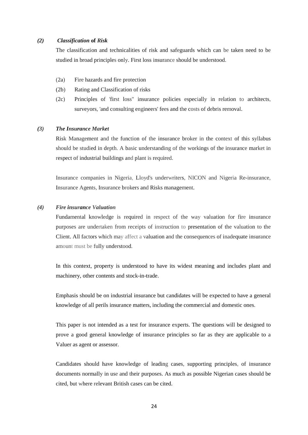#### *(2) Classification* **of** *Risk*

The classification and technicalities of risk and safeguards which can be taken need to be studied in broad principles only. First loss insurance should be understood.

- (2a) Fire hazards and fire protection
- (2b) Rating and Classification of risks
- (2c) Principles of 'first loss" insurance policies especially in relation to architects, surveyors, 'and consulting engineers' fees and the costs of debris removal.

#### *(3) The Insurance Market*

Risk Management and the function of the insurance broker in the context of this syllabus should be studied in depth. A basic understanding of the workings of the insurance market in respect of industrial buildings and plant is required.

Insurance companies in Nigeria, Lloyd's underwriters, NICON and Nigeria Re-insurance, Insurance Agents, Insurance brokers and Risks management.

#### *(4) Fire insurance Valuation*

Fundamental knowledge is required in respect of the way valuation for fire insurance purposes are undertaken from receipts of instruction to presentation of the valuation to the Client. All factors which may affect a valuation and the consequences of inadequate insurance amount must be fully understood.

In this context, property is understood to have its widest meaning and includes plant and machinery, other contents and stock-in-trade.

Emphasis should be on industrial insurance but candidates will be expected to have a general knowledge of all perils insurance matters, including the commercial and domestic ones.

This paper is not intended as a test for insurance experts. The questions will be designed to prove a good general knowledge of insurance principles so far as they are applicable to a Valuer as agent or assessor.

Candidates should have knowledge of leading cases, supporting principles, of insurance documents normally in use and their purposes. As much as possible Nigerian cases should be cited, but where relevant British cases can be cited.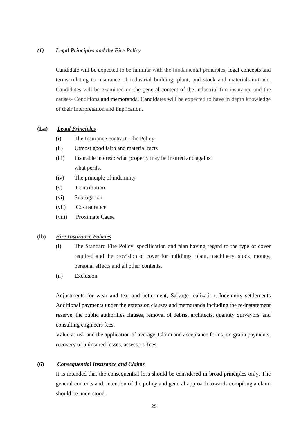#### *(1) Legal Principles and the Fire Policy*

Candidate will be expected to be familiar with the fundamental principles, legal concepts and terms relating to insurance of industrial building, plant, and stock and materials-in-trade. Candidates will be examined on the general content of the industrial fire insurance and the causes- Conditions and memoranda. Candidates will be expected to have in depth knowledge of their interpretation and implication.

#### **(La)** *Legal Principles*

- (i) The Insurance contract the Policy
- (ii) Utmost good faith and material facts
- (iii) Insurable interest: what property may be insured and against what perils.
- (iv) The principle of indemnity
- (v) Contribution
- (vi) Subrogation
- (vii) Co-insurance
- (viii) Proximate Cause

#### **(lb)** *Fire Insurance Policies*

- (i) The Standard Fire Policy, specification and plan having regard to the type of cover required and the provision of cover for buildings, plant, machinery, stock, money, personal effects and all other contents.
- (ii) Exclusion

Adjustments for wear and tear and betterment, Salvage realization, Indemnity settlements Additional payments under the extension clauses and memoranda including the re-instatement reserve, the public authorities clauses, removal of debris, architects, quantity Surveyors' and consulting engineers fees.

Value at risk and the application of average, Claim and acceptance forms, ex-gratia payments, recovery of uninsured losses, assessors' fees

#### **(6)** *Consequential Insurance and Claims*

It is intended that the consequential loss should be considered in broad principles only. The general contents and, intention of the policy and general approach towards compiling a claim should be understood.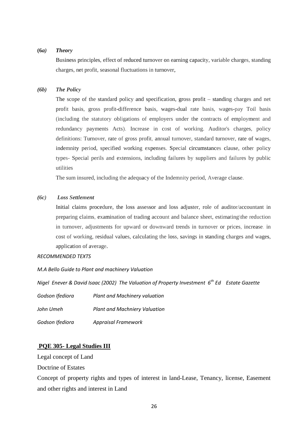#### **(6***a) Theory*

Business principles, effect of reduced turnover on earning capacity, variable charges, standing charges, net profit, seasonal fluctuations in turnover,

#### *(6b) The Policy*

The scope of the standard policy and specification, gross profit – standing charges and net profit basis, gross profit-difference basis, wages-dual rate basis, wages-pay Toil basis (including the statutory obligations of employers under the contracts of employment and redundancy payments Acts). Increase in cost of working. Auditor's charges, policy definitions: Turnover, rate of gross profit, annual turnover, standard turnover, rate of wages, indemnity period, specified working expenses. Special circumstances clause, other policy types- Special perils and extensions, including failures by suppliers and failures by public utilities

The sum insured, including the adequacy of the Indemnity period, Average clause.

#### *(6c) Loss Settlement*

Initial claims procedure, the loss assessor and loss adjuster, role of auditor/accountant in preparing claims, examination of trading account and balance sheet, estimating\the reduction in turnover, adjustments for upward or downward trends in turnover or prices, increase. in cost of working, residual values, calculating the loss, savings in standing charges and wages, application of average.

#### *RECOMMENDED TEXTS*

*M.A Bello Guide to Plant and machinery Valuation*

*Nigel Enever & David Isaac (2002) The Valuation of Property Investment 6th Ed Estate Gazette*

*Godson Ifediora Plant and Machinery valuation John Umeh Plant and Machniery Valuation Godson Ifediora Appraisal Framework*

#### **PQE 305- Legal Studies III**

Legal concept of Land

Doctrine of Estates

Concept of property rights and types of interest in land-Lease, Tenancy, license, Easement and other rights and interest in Land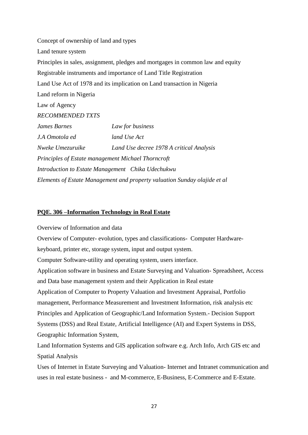Concept of ownership of land and types Land tenure system Principles in sales, assignment, pledges and mortgages in common law and equity Registrable instruments and importance of Land Title Registration Land Use Act of 1978 and its implication on Land transaction in Nigeria Land reform in Nigeria Law of Agency *RECOMMENDED TXTS James Barnes Law for business J.A Omotola ed land Use Act Nweke Umezuruike Land Use decree 1978 A critical Analysis Principles of Estate management Michael Thorncroft Introduction to Estate Management Chika Udechukwu Elements of Estate Management and property valuation Sunday olajide et al*

#### **PQE. 306 –Information Technology in Real Estate**

Overview of Information and data

Overview of Computer- evolution, types and classifications- Computer Hardwarekeyboard, printer etc, storage system, input and output system. Computer Software-utility and operating system, users interface. Application software in business and Estate Surveying and Valuation- Spreadsheet, Access and Data base management system and their Application in Real estate Application of Computer to Property Valuation and Investment Appraisal, Portfolio management, Performance Measurement and Investment Information, risk analysis etc Principles and Application of Geographic/Land Information System.- Decision Support Systems (DSS) and Real Estate, Artificial Intelligence (AI) and Expert Systems in DSS, Geographic Information System, Land Information Systems and GIS application software e.g. Arch Info, Arch GIS etc and

Spatial Analysis

Uses of Internet in Estate Surveying and Valuation- Internet and Intranet communication and uses in real estate business - [and M-commerce](http://www.cem.ac.uk/bboard/studymat/#a7.2), E-Business, E-Commerce and E-Estate.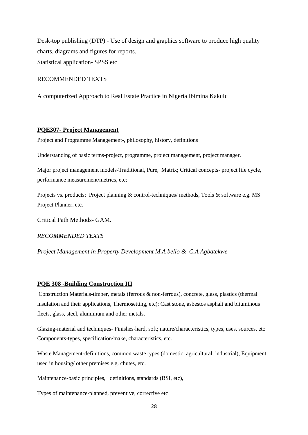Desk-top publishing (DTP) - Use of design and graphics software to produce high quality charts, diagrams and figures for reports. Statistical application- SPSS etc

#### RECOMMENDED TEXTS

A computerized Approach to Real Estate Practice in Nigeria Ibimina Kakulu

#### **PQE307- Project Management**

Project and Programme Management-, philosophy, history, definitions

Understanding of basic terms-project, programme, project management, project manager.

Major project management models-Traditional, Pure, Matrix; Critical concepts- project life cycle, performance measurement/metrics, etc;

Projects vs. products; Project planning & control-techniques/ methods, Tools & software e.g. MS Project Planner, etc.

Critical Path Methods- GAM.

*RECOMMENDED TEXTS*

*Project Management in Property Development M.A bello & C.A Agbatekwe*

#### **PQE 308 -Building Construction III**

Construction Materials-timber, metals (ferrous & non-ferrous), concrete, glass, plastics (thermal insulation and their applications, Thermosetting, etc); Cast stone, asbestos asphalt and bituminous fleets, glass, steel, aluminium and other metals.

Glazing-material and techniques- Finishes-hard, soft; nature/characteristics, types, uses, sources, etc Components-types, specification/make, characteristics, etc.

Waste Management-definitions, common waste types (domestic, agricultural, industrial), Equipment used in housing/ other premises e.g. chutes, etc.

Maintenance-basic principles, definitions, standards (BSI, etc),

Types of maintenance-planned, preventive, corrective etc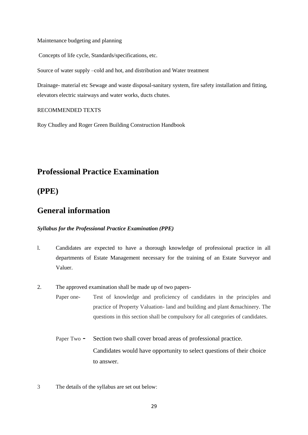Maintenance budgeting and planning

Concepts of life cycle, Standards/specifications, etc.

Source of water supply –cold and hot, and distribution and Water treatment

Drainage- material etc Sewage and waste disposal-sanitary system, fire safety installation and fitting, elevators electric stairways and water works, ducts chutes.

RECOMMENDED TEXTS

Roy Chudley and Roger Green Building Construction Handbook

# **Professional Practice Examination**

# **(PPE)**

# **General information**

#### *Syllabus for the Professional Practice Examination (PPE)*

- l. Candidates are expected to have a thorough knowledge of professional practice in all departments of Estate Management necessary for the training of an Estate Surveyor and Valuer.
- 2. The approved examination shall be made up of two papers-
	- Paper one- Test of knowledge and proficiency of candidates in the principles and practice of Property Valuation- land and building and plant &machinery. The questions in this section shall be compulsory for all categories of candidates.
		- Paper Two **-** Section two shall cover broad areas of professional practice. Candidates would have opportunity to select questions of their choice to answer.
- 3 The details of the syllabus are set out below: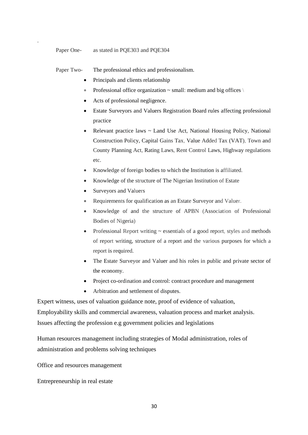Paper One- as stated in PQE303 and PQE304

.

Paper Two- The professional ethics and professionalism.

- Principals and clients relationship
- Professional office organization  $\sim$  small: medium and big offices  $\setminus$
- Acts of professional negligence.
- Estate Surveyors and Valuers Registration Board rules affecting professional practice
- Relevant practice laws ~ Land Use Act, National Housing Policy, National Construction Policy, Capital Gains Tax, Value Added Tax (VAT), Town and County Planning Act, Rating Laws, Rent Control Laws, Highway regulations etc.
- Knowledge of foreign bodies to which the Institution is affiliated.
- Knowledge of the structure of The Nigerian Institution of Estate
- Surveyors and Valuers
- Requirements for qualification as an Estate Surveyor and Valuer.
- Knowledge of and the structure of APBN (Association of Professional Bodies of Nigeria)
- Professional Report writing  $\sim$  essentials of a good report, styles and methods of report writing, structure of a report and the various purposes for which a report is required.
- The Estate Surveyor and Valuer and his roles in public and private sector of the economy.
- Project co-ordination and control: contract procedure and management
- Arbitration and settlement of disputes.

Expert witness, uses of valuation guidance note, proof of evidence of valuation,

Employability skills and commercial awareness, valuation process and market analysis.

Issues affecting the profession e.g government policies and legislations

Human resources management including strategies of Modal administration, roles of administration and problems solving techniques

Office and resources management

Entrepreneurship in real estate